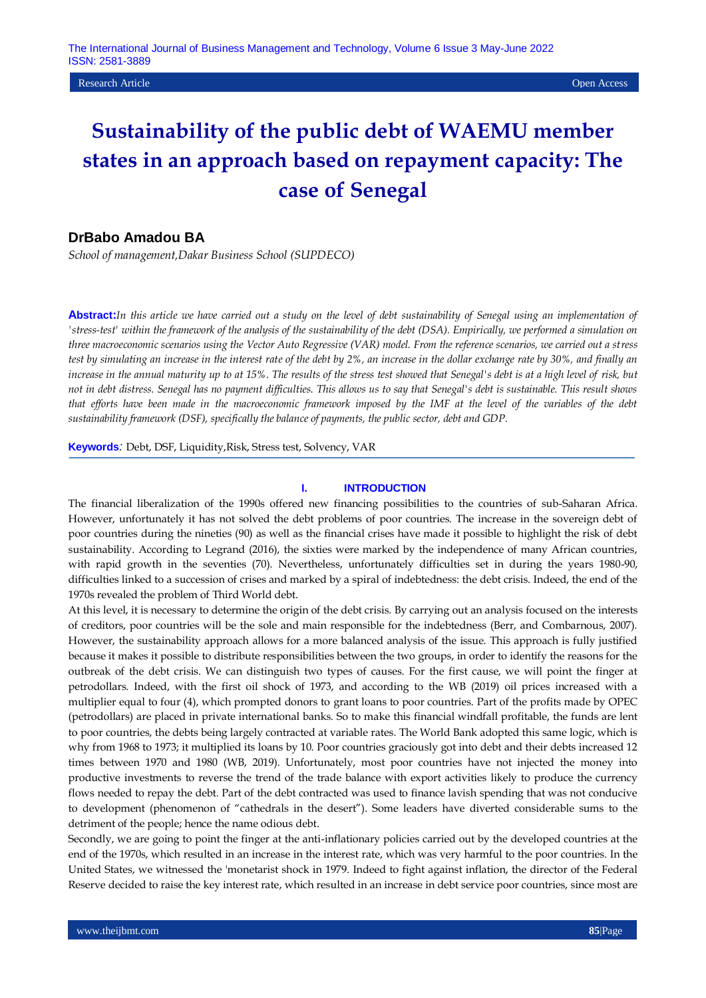**Research Article Open Access Open Access Open Access Open Access Open Access Open Access Open Access Open Access** 

# **Sustainability of the public debt of WAEMU member states in an approach based on repayment capacity: The case of Senegal**

# **DrBabo Amadou BA**

*School of management,Dakar Business School (SUPDECO)*

**Abstract:***In this article we have carried out a study on the level of debt sustainability of Senegal using an implementation of 'stress-test' within the framework of the analysis of the sustainability of the debt (DSA). Empirically, we performed a simulation on three macroeconomic scenarios using the Vector Auto Regressive (VAR) model. From the reference scenarios, we carried out a stress test by simulating an increase in the interest rate of the debt by 2%, an increase in the dollar exchange rate by 30%, and finally an increase in the annual maturity up to at 15%. The results of the stress test showed that Senegal's debt is at a high level of risk, but not in debt distress. Senegal has no payment difficulties. This allows us to say that Senegal's debt is sustainable. This result shows that efforts have been made in the macroeconomic framework imposed by the IMF at the level of the variables of the debt sustainability framework (DSF), specifically the balance of payments, the public sector, debt and GDP.*

**Keywords***:* Debt, DSF, Liquidity,Risk, Stress test, Solvency, VAR

#### **I. INTRODUCTION**

The financial liberalization of the 1990s offered new financing possibilities to the countries of sub-Saharan Africa. However, unfortunately it has not solved the debt problems of poor countries. The increase in the sovereign debt of poor countries during the nineties (90) as well as the financial crises have made it possible to highlight the risk of debt sustainability. According to Legrand (2016), the sixties were marked by the independence of many African countries, with rapid growth in the seventies (70). Nevertheless, unfortunately difficulties set in during the years 1980-90, difficulties linked to a succession of crises and marked by a spiral of indebtedness: the debt crisis. Indeed, the end of the 1970s revealed the problem of Third World debt.

At this level, it is necessary to determine the origin of the debt crisis. By carrying out an analysis focused on the interests of creditors, poor countries will be the sole and main responsible for the indebtedness (Berr, and Combarnous, 2007). However, the sustainability approach allows for a more balanced analysis of the issue. This approach is fully justified because it makes it possible to distribute responsibilities between the two groups, in order to identify the reasons for the outbreak of the debt crisis. We can distinguish two types of causes. For the first cause, we will point the finger at petrodollars. Indeed, with the first oil shock of 1973, and according to the WB (2019) oil prices increased with a multiplier equal to four (4), which prompted donors to grant loans to poor countries. Part of the profits made by OPEC (petrodollars) are placed in private international banks. So to make this financial windfall profitable, the funds are lent to poor countries, the debts being largely contracted at variable rates. The World Bank adopted this same logic, which is why from 1968 to 1973; it multiplied its loans by 10. Poor countries graciously got into debt and their debts increased 12 times between 1970 and 1980 (WB, 2019). Unfortunately, most poor countries have not injected the money into productive investments to reverse the trend of the trade balance with export activities likely to produce the currency flows needed to repay the debt. Part of the debt contracted was used to finance lavish spending that was not conducive to development (phenomenon of "cathedrals in the desert"). Some leaders have diverted considerable sums to the detriment of the people; hence the name odious debt.

Secondly, we are going to point the finger at the anti-inflationary policies carried out by the developed countries at the end of the 1970s, which resulted in an increase in the interest rate, which was very harmful to the poor countries. In the United States, we witnessed the 'monetarist shock in 1979. Indeed to fight against inflation, the director of the Federal Reserve decided to raise the key interest rate, which resulted in an increase in debt service poor countries, since most are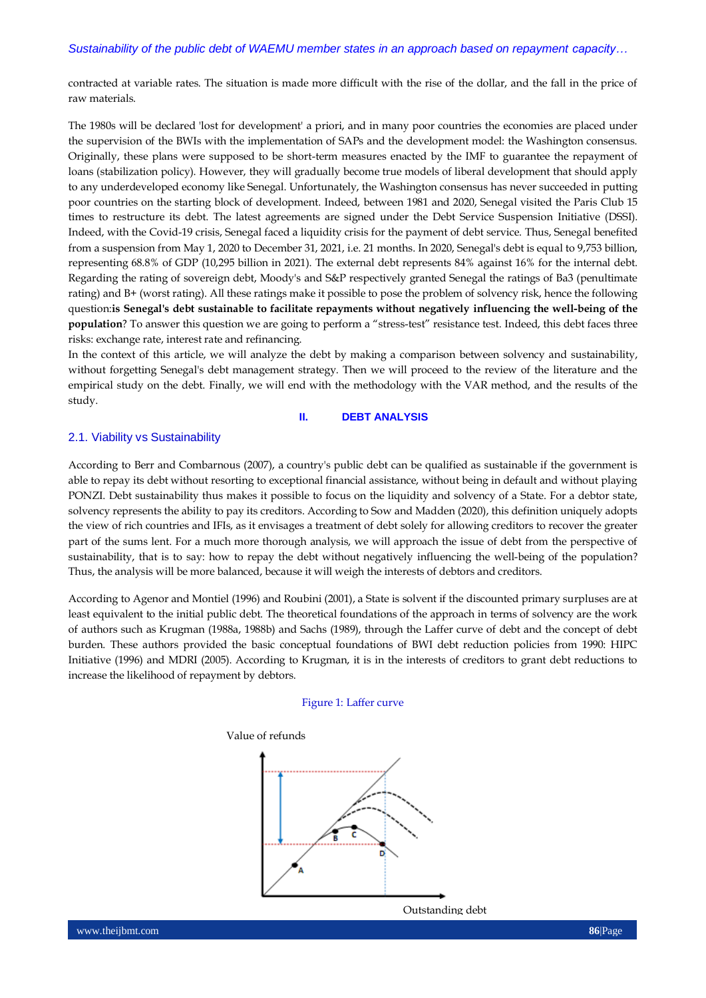contracted at variable rates. The situation is made more difficult with the rise of the dollar, and the fall in the price of raw materials.

The 1980s will be declared 'lost for development' a priori, and in many poor countries the economies are placed under the supervision of the BWIs with the implementation of SAPs and the development model: the Washington consensus. Originally, these plans were supposed to be short-term measures enacted by the IMF to guarantee the repayment of loans (stabilization policy). However, they will gradually become true models of liberal development that should apply to any underdeveloped economy like Senegal. Unfortunately, the Washington consensus has never succeeded in putting poor countries on the starting block of development. Indeed, between 1981 and 2020, Senegal visited the Paris Club 15 times to restructure its debt. The latest agreements are signed under the Debt Service Suspension Initiative (DSSI). Indeed, with the Covid-19 crisis, Senegal faced a liquidity crisis for the payment of debt service. Thus, Senegal benefited from a suspension from May 1, 2020 to December 31, 2021, i.e. 21 months. In 2020, Senegal's debt is equal to 9,753 billion, representing 68.8% of GDP (10,295 billion in 2021). The external debt represents 84% against 16% for the internal debt. Regarding the rating of sovereign debt, Moody's and S&P respectively granted Senegal the ratings of Ba3 (penultimate rating) and B+ (worst rating). All these ratings make it possible to pose the problem of solvency risk, hence the following question:**is Senegal's debt sustainable to facilitate repayments without negatively influencing the well-being of the population**? To answer this question we are going to perform a "stress-test" resistance test. Indeed, this debt faces three risks: exchange rate, interest rate and refinancing.

In the context of this article, we will analyze the debt by making a comparison between solvency and sustainability, without forgetting Senegal's debt management strategy. Then we will proceed to the review of the literature and the empirical study on the debt. Finally, we will end with the methodology with the VAR method, and the results of the study.

# **II. DEBT ANALYSIS**

# 2.1. Viability vs Sustainability

According to Berr and Combarnous (2007), a country's public debt can be qualified as sustainable if the government is able to repay its debt without resorting to exceptional financial assistance, without being in default and without playing PONZI. Debt sustainability thus makes it possible to focus on the liquidity and solvency of a State. For a debtor state, solvency represents the ability to pay its creditors. According to Sow and Madden (2020), this definition uniquely adopts the view of rich countries and IFIs, as it envisages a treatment of debt solely for allowing creditors to recover the greater part of the sums lent. For a much more thorough analysis, we will approach the issue of debt from the perspective of sustainability, that is to say: how to repay the debt without negatively influencing the well-being of the population? Thus, the analysis will be more balanced, because it will weigh the interests of debtors and creditors.

According to Agenor and Montiel (1996) and Roubini (2001), a State is solvent if the discounted primary surpluses are at least equivalent to the initial public debt. The theoretical foundations of the approach in terms of solvency are the work of authors such as Krugman (1988a, 1988b) and Sachs (1989), through the Laffer curve of debt and the concept of debt burden. These authors provided the basic conceptual foundations of BWI debt reduction policies from 1990: HIPC Initiative (1996) and MDRI (2005). According to Krugman, it is in the interests of creditors to grant debt reductions to increase the likelihood of repayment by debtors.

#### Figure 1: Laffer curve

#### Value of refunds



Outstanding debt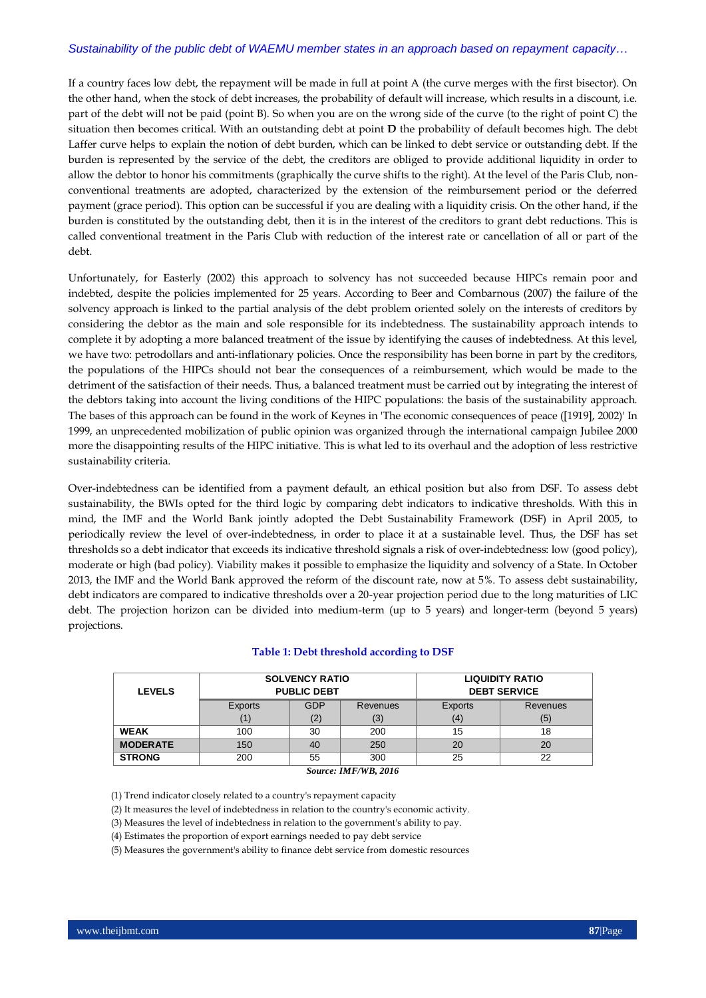If a country faces low debt, the repayment will be made in full at point A (the curve merges with the first bisector). On the other hand, when the stock of debt increases, the probability of default will increase, which results in a discount, i.e. part of the debt will not be paid (point B). So when you are on the wrong side of the curve (to the right of point C) the situation then becomes critical. With an outstanding debt at point **D** the probability of default becomes high. The debt Laffer curve helps to explain the notion of debt burden, which can be linked to debt service or outstanding debt. If the burden is represented by the service of the debt, the creditors are obliged to provide additional liquidity in order to allow the debtor to honor his commitments (graphically the curve shifts to the right). At the level of the Paris Club, nonconventional treatments are adopted, characterized by the extension of the reimbursement period or the deferred payment (grace period). This option can be successful if you are dealing with a liquidity crisis. On the other hand, if the burden is constituted by the outstanding debt, then it is in the interest of the creditors to grant debt reductions. This is called conventional treatment in the Paris Club with reduction of the interest rate or cancellation of all or part of the debt.

Unfortunately, for Easterly (2002) this approach to solvency has not succeeded because HIPCs remain poor and indebted, despite the policies implemented for 25 years. According to Beer and Combarnous (2007) the failure of the solvency approach is linked to the partial analysis of the debt problem oriented solely on the interests of creditors by considering the debtor as the main and sole responsible for its indebtedness. The sustainability approach intends to complete it by adopting a more balanced treatment of the issue by identifying the causes of indebtedness. At this level, we have two: petrodollars and anti-inflationary policies. Once the responsibility has been borne in part by the creditors, the populations of the HIPCs should not bear the consequences of a reimbursement, which would be made to the detriment of the satisfaction of their needs. Thus, a balanced treatment must be carried out by integrating the interest of the debtors taking into account the living conditions of the HIPC populations: the basis of the sustainability approach. The bases of this approach can be found in the work of Keynes in 'The economic consequences of peace ([1919], 2002)' In 1999, an unprecedented mobilization of public opinion was organized through the international campaign Jubilee 2000 more the disappointing results of the HIPC initiative. This is what led to its overhaul and the adoption of less restrictive sustainability criteria.

Over-indebtedness can be identified from a payment default, an ethical position but also from DSF. To assess debt sustainability, the BWIs opted for the third logic by comparing debt indicators to indicative thresholds. With this in mind, the IMF and the World Bank jointly adopted the Debt Sustainability Framework (DSF) in April 2005, to periodically review the level of over-indebtedness, in order to place it at a sustainable level. Thus, the DSF has set thresholds so a debt indicator that exceeds its indicative threshold signals a risk of over-indebtedness: low (good policy), moderate or high (bad policy). Viability makes it possible to emphasize the liquidity and solvency of a State. In October 2013, the IMF and the World Bank approved the reform of the discount rate, now at 5%. To assess debt sustainability, debt indicators are compared to indicative thresholds over a 20-year projection period due to the long maturities of LIC debt. The projection horizon can be divided into medium-term (up to 5 years) and longer-term (beyond 5 years) projections.

| Table 1: Debt threshold according to DSF |  |  |
|------------------------------------------|--|--|
|------------------------------------------|--|--|

| <b>LEVELS</b>   | <b>SOLVENCY RATIO</b><br><b>PUBLIC DEBT</b> |                        |                      |     | <b>LIQUIDITY RATIO</b><br><b>DEBT SERVICE</b> |
|-----------------|---------------------------------------------|------------------------|----------------------|-----|-----------------------------------------------|
|                 | Exports                                     | <b>GDP</b><br>Revenues |                      |     | Revenues                                      |
|                 | (1)                                         | (2)                    | (3)                  | (4) | (5)                                           |
| <b>WEAK</b>     | 100                                         | 30                     | 200                  | 15  | 18                                            |
| <b>MODERATE</b> | 150                                         | 40                     | 250                  | 20  | 20                                            |
| <b>STRONG</b>   | 55<br>200<br>300                            |                        |                      | 25  | 22                                            |
|                 |                                             |                        | Source: IMF/WB, 2016 |     |                                               |

(1) Trend indicator closely related to a country's repayment capacity

(2) It measures the level of indebtedness in relation to the country's economic activity.

(3) Measures the level of indebtedness in relation to the government's ability to pay.

(4) Estimates the proportion of export earnings needed to pay debt service

(5) Measures the government's ability to finance debt service from domestic resources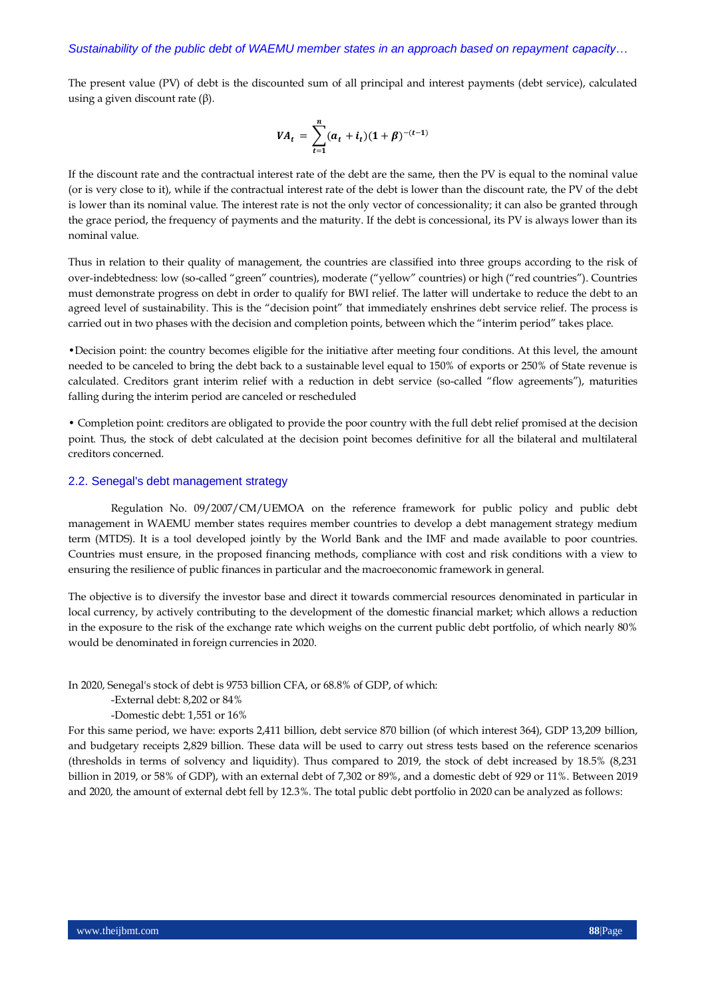The present value (PV) of debt is the discounted sum of all principal and interest payments (debt service), calculated using a given discount rate (β).

$$
VA_t = \sum_{t=1}^{n} (a_t + i_t)(1 + \beta)^{-(t-1)}
$$

If the discount rate and the contractual interest rate of the debt are the same, then the PV is equal to the nominal value (or is very close to it), while if the contractual interest rate of the debt is lower than the discount rate, the PV of the debt is lower than its nominal value. The interest rate is not the only vector of concessionality; it can also be granted through the grace period, the frequency of payments and the maturity. If the debt is concessional, its PV is always lower than its nominal value.

Thus in relation to their quality of management, the countries are classified into three groups according to the risk of over-indebtedness: low (so-called "green" countries), moderate ("yellow" countries) or high ("red countries"). Countries must demonstrate progress on debt in order to qualify for BWI relief. The latter will undertake to reduce the debt to an agreed level of sustainability. This is the "decision point" that immediately enshrines debt service relief. The process is carried out in two phases with the decision and completion points, between which the "interim period" takes place.

•Decision point: the country becomes eligible for the initiative after meeting four conditions. At this level, the amount needed to be canceled to bring the debt back to a sustainable level equal to 150% of exports or 250% of State revenue is calculated. Creditors grant interim relief with a reduction in debt service (so-called "flow agreements"), maturities falling during the interim period are canceled or rescheduled

• Completion point: creditors are obligated to provide the poor country with the full debt relief promised at the decision point. Thus, the stock of debt calculated at the decision point becomes definitive for all the bilateral and multilateral creditors concerned.

#### 2.2. Senegal's debt management strategy

Regulation No. 09/2007/CM/UEMOA on the reference framework for public policy and public debt management in WAEMU member states requires member countries to develop a debt management strategy medium term (MTDS). It is a tool developed jointly by the World Bank and the IMF and made available to poor countries. Countries must ensure, in the proposed financing methods, compliance with cost and risk conditions with a view to ensuring the resilience of public finances in particular and the macroeconomic framework in general.

The objective is to diversify the investor base and direct it towards commercial resources denominated in particular in local currency, by actively contributing to the development of the domestic financial market; which allows a reduction in the exposure to the risk of the exchange rate which weighs on the current public debt portfolio, of which nearly 80% would be denominated in foreign currencies in 2020.

In 2020, Senegal's stock of debt is 9753 billion CFA, or 68.8% of GDP, of which:

-External debt: 8,202 or 84%

-Domestic debt: 1,551 or 16%

For this same period, we have: exports 2,411 billion, debt service 870 billion (of which interest 364), GDP 13,209 billion, and budgetary receipts 2,829 billion. These data will be used to carry out stress tests based on the reference scenarios (thresholds in terms of solvency and liquidity). Thus compared to 2019, the stock of debt increased by 18.5% (8,231 billion in 2019, or 58% of GDP), with an external debt of 7,302 or 89%, and a domestic debt of 929 or 11%. Between 2019 and 2020, the amount of external debt fell by 12.3%. The total public debt portfolio in 2020 can be analyzed as follows: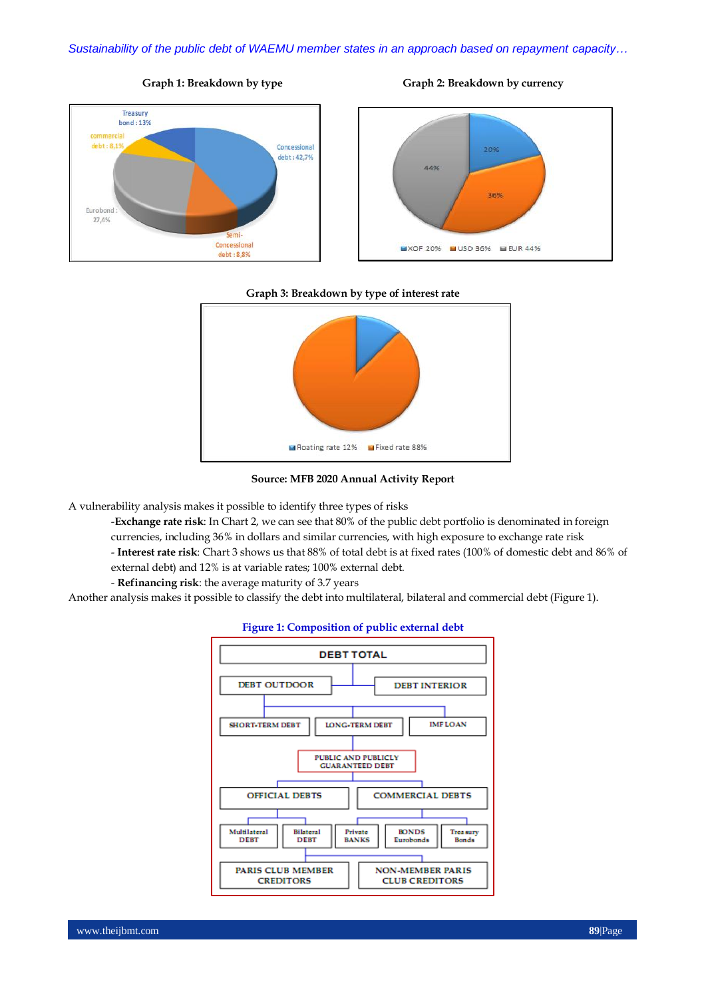





#### **Graph 3: Breakdown by type of interest rate**



**Source: MFB 2020 Annual Activity Report**

A vulnerability analysis makes it possible to identify three types of risks

-**Exchange rate risk**: In Chart 2, we can see that 80% of the public debt portfolio is denominated in foreign currencies, including 36% in dollars and similar currencies, with high exposure to exchange rate risk

- **Interest rate risk**: Chart 3 shows us that 88% of total debt is at fixed rates (100% of domestic debt and 86% of external debt) and 12% is at variable rates; 100% external debt.
- **Refinancing risk**: the average maturity of 3.7 years

Another analysis makes it possible to classify the debt into multilateral, bilateral and commercial debt (Figure 1).



#### **Figure 1: Composition of public external debt**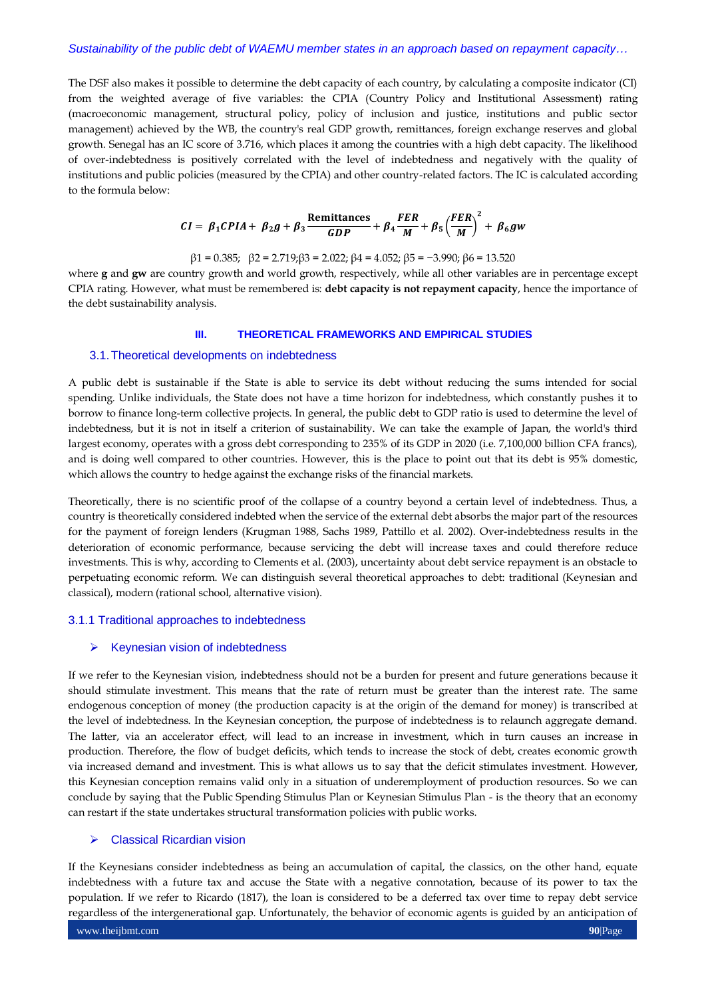The DSF also makes it possible to determine the debt capacity of each country, by calculating a composite indicator (CI) from the weighted average of five variables: the CPIA (Country Policy and Institutional Assessment) rating (macroeconomic management, structural policy, policy of inclusion and justice, institutions and public sector management) achieved by the WB, the country's real GDP growth, remittances, foreign exchange reserves and global growth. Senegal has an IC score of 3.716, which places it among the countries with a high debt capacity. The likelihood of over-indebtedness is positively correlated with the level of indebtedness and negatively with the quality of institutions and public policies (measured by the CPIA) and other country-related factors. The IC is calculated according to the formula below:

$$
CI = \beta_1 CPIA + \beta_2 g + \beta_3 \frac{\text{Remittances}}{GDP} + \beta_4 \frac{FER}{M} + \beta_5 \left(\frac{FER}{M}\right)^2 + \beta_6 gw
$$

β1 = 0.385; β2 = 2.719;β3 = 2.022; β4 = 4.052; β5 = −3.990; β6 = 13.520

where **g** and **gw** are country growth and world growth, respectively, while all other variables are in percentage except CPIA rating. However, what must be remembered is: **debt capacity is not repayment capacity**, hence the importance of the debt sustainability analysis.

# **III. THEORETICAL FRAMEWORKS AND EMPIRICAL STUDIES**

#### 3.1.Theoretical developments on indebtedness

A public debt is sustainable if the State is able to service its debt without reducing the sums intended for social spending. Unlike individuals, the State does not have a time horizon for indebtedness, which constantly pushes it to borrow to finance long-term collective projects. In general, the public debt to GDP ratio is used to determine the level of indebtedness, but it is not in itself a criterion of sustainability. We can take the example of Japan, the world's third largest economy, operates with a gross debt corresponding to 235% of its GDP in 2020 (i.e. 7,100,000 billion CFA francs), and is doing well compared to other countries. However, this is the place to point out that its debt is 95% domestic, which allows the country to hedge against the exchange risks of the financial markets.

Theoretically, there is no scientific proof of the collapse of a country beyond a certain level of indebtedness. Thus, a country is theoretically considered indebted when the service of the external debt absorbs the major part of the resources for the payment of foreign lenders (Krugman 1988, Sachs 1989, Pattillo et al. 2002). Over-indebtedness results in the deterioration of economic performance, because servicing the debt will increase taxes and could therefore reduce investments. This is why, according to Clements et al. (2003), uncertainty about debt service repayment is an obstacle to perpetuating economic reform. We can distinguish several theoretical approaches to debt: traditional (Keynesian and classical), modern (rational school, alternative vision).

# 3.1.1 Traditional approaches to indebtedness

#### Keynesian vision of indebtedness

If we refer to the Keynesian vision, indebtedness should not be a burden for present and future generations because it should stimulate investment. This means that the rate of return must be greater than the interest rate. The same endogenous conception of money (the production capacity is at the origin of the demand for money) is transcribed at the level of indebtedness. In the Keynesian conception, the purpose of indebtedness is to relaunch aggregate demand. The latter, via an accelerator effect, will lead to an increase in investment, which in turn causes an increase in production. Therefore, the flow of budget deficits, which tends to increase the stock of debt, creates economic growth via increased demand and investment. This is what allows us to say that the deficit stimulates investment. However, this Keynesian conception remains valid only in a situation of underemployment of production resources. So we can conclude by saying that the Public Spending Stimulus Plan or Keynesian Stimulus Plan - is the theory that an economy can restart if the state undertakes structural transformation policies with public works.

# ▶ Classical Ricardian vision

If the Keynesians consider indebtedness as being an accumulation of capital, the classics, on the other hand, equate indebtedness with a future tax and accuse the State with a negative connotation, because of its power to tax the population. If we refer to Ricardo (1817), the loan is considered to be a deferred tax over time to repay debt service regardless of the intergenerational gap. Unfortunately, the behavior of economic agents is guided by an anticipation of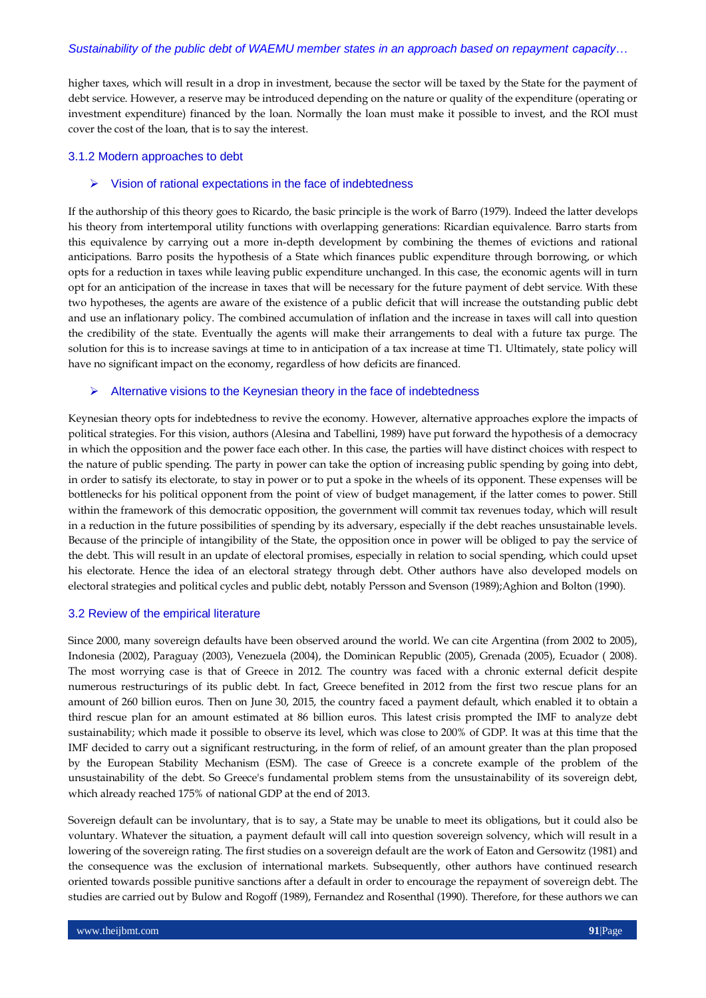higher taxes, which will result in a drop in investment, because the sector will be taxed by the State for the payment of debt service. However, a reserve may be introduced depending on the nature or quality of the expenditure (operating or investment expenditure) financed by the loan. Normally the loan must make it possible to invest, and the ROI must cover the cost of the loan, that is to say the interest.

# 3.1.2 Modern approaches to debt

#### $\triangleright$  Vision of rational expectations in the face of indebtedness

If the authorship of this theory goes to Ricardo, the basic principle is the work of Barro (1979). Indeed the latter develops his theory from intertemporal utility functions with overlapping generations: Ricardian equivalence. Barro starts from this equivalence by carrying out a more in-depth development by combining the themes of evictions and rational anticipations. Barro posits the hypothesis of a State which finances public expenditure through borrowing, or which opts for a reduction in taxes while leaving public expenditure unchanged. In this case, the economic agents will in turn opt for an anticipation of the increase in taxes that will be necessary for the future payment of debt service. With these two hypotheses, the agents are aware of the existence of a public deficit that will increase the outstanding public debt and use an inflationary policy. The combined accumulation of inflation and the increase in taxes will call into question the credibility of the state. Eventually the agents will make their arrangements to deal with a future tax purge. The solution for this is to increase savings at time to in anticipation of a tax increase at time T1. Ultimately, state policy will have no significant impact on the economy, regardless of how deficits are financed.

# $\triangleright$  Alternative visions to the Keynesian theory in the face of indebtedness

Keynesian theory opts for indebtedness to revive the economy. However, alternative approaches explore the impacts of political strategies. For this vision, authors (Alesina and Tabellini, 1989) have put forward the hypothesis of a democracy in which the opposition and the power face each other. In this case, the parties will have distinct choices with respect to the nature of public spending. The party in power can take the option of increasing public spending by going into debt, in order to satisfy its electorate, to stay in power or to put a spoke in the wheels of its opponent. These expenses will be bottlenecks for his political opponent from the point of view of budget management, if the latter comes to power. Still within the framework of this democratic opposition, the government will commit tax revenues today, which will result in a reduction in the future possibilities of spending by its adversary, especially if the debt reaches unsustainable levels. Because of the principle of intangibility of the State, the opposition once in power will be obliged to pay the service of the debt. This will result in an update of electoral promises, especially in relation to social spending, which could upset his electorate. Hence the idea of an electoral strategy through debt. Other authors have also developed models on electoral strategies and political cycles and public debt, notably Persson and Svenson (1989);Aghion and Bolton (1990).

#### 3.2 Review of the empirical literature

Since 2000, many sovereign defaults have been observed around the world. We can cite Argentina (from 2002 to 2005), Indonesia (2002), Paraguay (2003), Venezuela (2004), the Dominican Republic (2005), Grenada (2005), Ecuador ( 2008). The most worrying case is that of Greece in 2012. The country was faced with a chronic external deficit despite numerous restructurings of its public debt. In fact, Greece benefited in 2012 from the first two rescue plans for an amount of 260 billion euros. Then on June 30, 2015, the country faced a payment default, which enabled it to obtain a third rescue plan for an amount estimated at 86 billion euros. This latest crisis prompted the IMF to analyze debt sustainability; which made it possible to observe its level, which was close to 200% of GDP. It was at this time that the IMF decided to carry out a significant restructuring, in the form of relief, of an amount greater than the plan proposed by the European Stability Mechanism (ESM). The case of Greece is a concrete example of the problem of the unsustainability of the debt. So Greece's fundamental problem stems from the unsustainability of its sovereign debt, which already reached 175% of national GDP at the end of 2013.

Sovereign default can be involuntary, that is to say, a State may be unable to meet its obligations, but it could also be voluntary. Whatever the situation, a payment default will call into question sovereign solvency, which will result in a lowering of the sovereign rating. The first studies on a sovereign default are the work of Eaton and Gersowitz (1981) and the consequence was the exclusion of international markets. Subsequently, other authors have continued research oriented towards possible punitive sanctions after a default in order to encourage the repayment of sovereign debt. The studies are carried out by Bulow and Rogoff (1989), Fernandez and Rosenthal (1990). Therefore, for these authors we can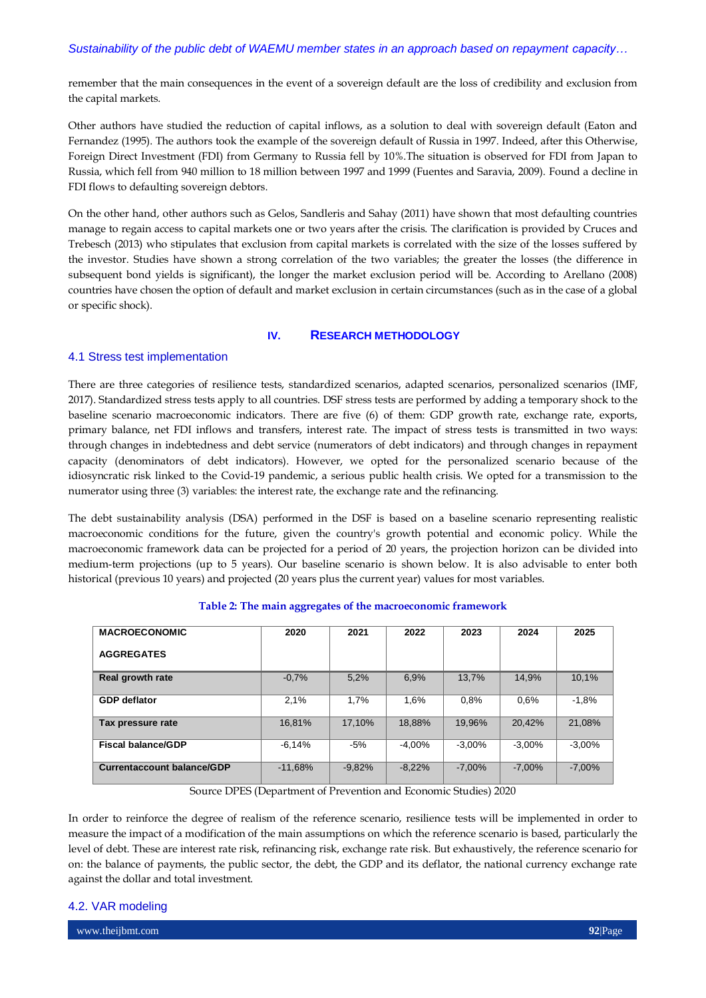remember that the main consequences in the event of a sovereign default are the loss of credibility and exclusion from the capital markets.

Other authors have studied the reduction of capital inflows, as a solution to deal with sovereign default (Eaton and Fernandez (1995). The authors took the example of the sovereign default of Russia in 1997. Indeed, after this Otherwise, Foreign Direct Investment (FDI) from Germany to Russia fell by 10%.The situation is observed for FDI from Japan to Russia, which fell from 940 million to 18 million between 1997 and 1999 (Fuentes and Saravia, 2009). Found a decline in FDI flows to defaulting sovereign debtors.

On the other hand, other authors such as Gelos, Sandleris and Sahay (2011) have shown that most defaulting countries manage to regain access to capital markets one or two years after the crisis. The clarification is provided by Cruces and Trebesch (2013) who stipulates that exclusion from capital markets is correlated with the size of the losses suffered by the investor. Studies have shown a strong correlation of the two variables; the greater the losses (the difference in subsequent bond yields is significant), the longer the market exclusion period will be. According to Arellano (2008) countries have chosen the option of default and market exclusion in certain circumstances (such as in the case of a global or specific shock).

# **IV. RESEARCH METHODOLOGY**

# 4.1 Stress test implementation

There are three categories of resilience tests, standardized scenarios, adapted scenarios, personalized scenarios (IMF, 2017). Standardized stress tests apply to all countries. DSF stress tests are performed by adding a temporary shock to the baseline scenario macroeconomic indicators. There are five (6) of them: GDP growth rate, exchange rate, exports, primary balance, net FDI inflows and transfers, interest rate. The impact of stress tests is transmitted in two ways: through changes in indebtedness and debt service (numerators of debt indicators) and through changes in repayment capacity (denominators of debt indicators). However, we opted for the personalized scenario because of the idiosyncratic risk linked to the Covid-19 pandemic, a serious public health crisis. We opted for a transmission to the numerator using three (3) variables: the interest rate, the exchange rate and the refinancing.

The debt sustainability analysis (DSA) performed in the DSF is based on a baseline scenario representing realistic macroeconomic conditions for the future, given the country's growth potential and economic policy. While the macroeconomic framework data can be projected for a period of 20 years, the projection horizon can be divided into medium-term projections (up to 5 years). Our baseline scenario is shown below. It is also advisable to enter both historical (previous 10 years) and projected (20 years plus the current year) values for most variables.

| <b>MACROECONOMIC</b>              | 2020      | 2021     | 2022     | 2023      | 2024     | 2025      |
|-----------------------------------|-----------|----------|----------|-----------|----------|-----------|
| <b>AGGREGATES</b>                 |           |          |          |           |          |           |
| <b>Real growth rate</b>           | $-0.7%$   | 5,2%     | 6,9%     | 13.7%     | 14.9%    | 10.1%     |
| <b>GDP</b> deflator               | 2,1%      | 1.7%     | 1,6%     | 0.8%      | 0.6%     | $-1.8%$   |
| Tax pressure rate                 | 16.81%    | 17.10%   | 18.88%   | 19.96%    | 20.42%   | 21.08%    |
| <b>Fiscal balance/GDP</b>         | $-6.14%$  | -5%      | $-4.00%$ | $-3.00\%$ | $-3.00%$ | $-3.00%$  |
| <b>Currentaccount balance/GDP</b> | $-11.68%$ | $-9.82%$ | $-8.22%$ | $-7.00\%$ | $-7.00%$ | $-7.00\%$ |

# **Table 2: The main aggregates of the macroeconomic framework**

Source DPES (Department of Prevention and Economic Studies) 2020

In order to reinforce the degree of realism of the reference scenario, resilience tests will be implemented in order to measure the impact of a modification of the main assumptions on which the reference scenario is based, particularly the level of debt. These are interest rate risk, refinancing risk, exchange rate risk. But exhaustively, the reference scenario for on: the balance of payments, the public sector, the debt, the GDP and its deflator, the national currency exchange rate against the dollar and total investment.

# 4.2. VAR modeling

www.theijbmt.com **92**|Page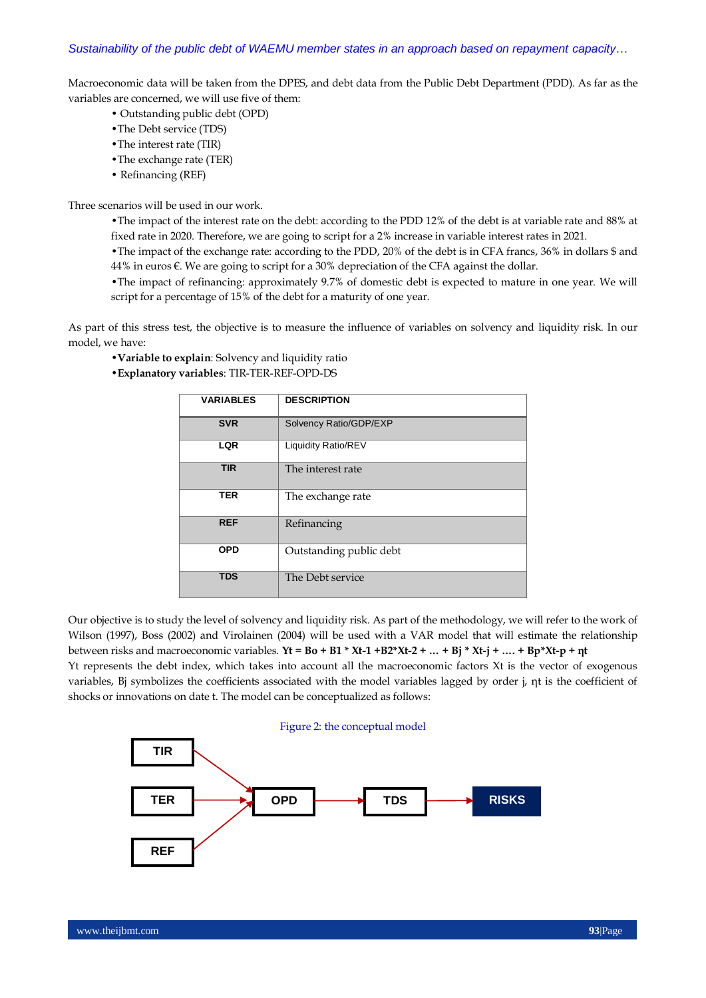Macroeconomic data will be taken from the DPES, and debt data from the Public Debt Department (PDD). As far as the variables are concerned, we will use five of them:

- Outstanding public debt (OPD)
- •The Debt service (TDS)
- •The interest rate (TIR)
- •The exchange rate (TER)
- Refinancing (REF)

Three scenarios will be used in our work.

•The impact of the interest rate on the debt: according to the PDD 12% of the debt is at variable rate and 88% at fixed rate in 2020. Therefore, we are going to script for a 2% increase in variable interest rates in 2021.

•The impact of the exchange rate: according to the PDD, 20% of the debt is in CFA francs, 36% in dollars \$ and 44% in euros  $\varepsilon$ . We are going to script for a 30% depreciation of the CFA against the dollar.

•The impact of refinancing: approximately 9.7% of domestic debt is expected to mature in one year. We will script for a percentage of 15% of the debt for a maturity of one year.

As part of this stress test, the objective is to measure the influence of variables on solvency and liquidity risk. In our model, we have:

•**Variable to explain**: Solvency and liquidity ratio

•**Explanatory variables**: TIR-TER-REF-OPD-DS

| <b>VARIABLES</b> | <b>DESCRIPTION</b>         |
|------------------|----------------------------|
| <b>SVR</b>       | Solvency Ratio/GDP/EXP     |
| <b>LQR</b>       | <b>Liquidity Ratio/REV</b> |
| <b>TIR</b>       | The interest rate          |
| <b>TER</b>       | The exchange rate          |
| <b>REF</b>       | Refinancing                |
| <b>OPD</b>       | Outstanding public debt    |
| <b>TDS</b>       | The Debt service           |

Our objective is to study the level of solvency and liquidity risk. As part of the methodology, we will refer to the work of Wilson (1997), Boss (2002) and Virolainen (2004) will be used with a VAR model that will estimate the relationship between risks and macroeconomic variables. **Yt = Bo + B1 \* Xt-1 +B2\*Xt-2 + … + Bj \* Xt-j + …. + Bp\*Xt-p + ηt** Yt represents the debt index, which takes into account all the macroeconomic factors Xt is the vector of exogenous variables, Bj symbolizes the coefficients associated with the model variables lagged by order j, ηt is the coefficient of shocks or innovations on date t. The model can be conceptualized as follows:

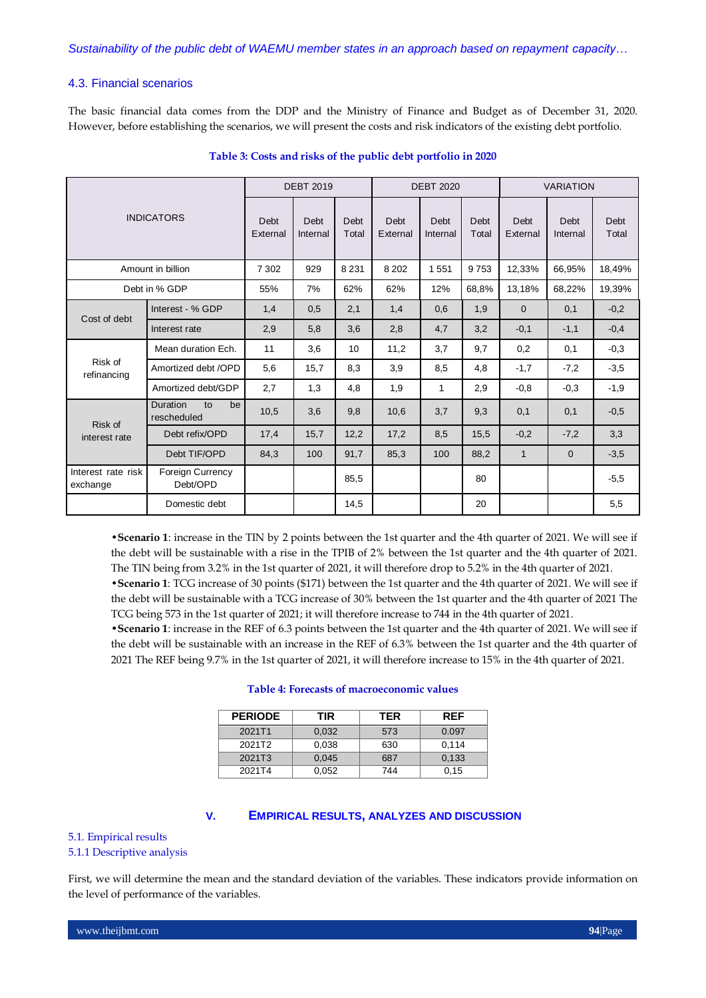# 4.3. Financial scenarios

The basic financial data comes from the DDP and the Ministry of Finance and Budget as of December 31, 2020. However, before establishing the scenarios, we will present the costs and risk indicators of the existing debt portfolio.

|                                |                                     | <b>DEBT 2019</b> |                  | <b>DEBT 2020</b> |                  |                  | <b>VARIATION</b>     |                  |                  |               |
|--------------------------------|-------------------------------------|------------------|------------------|------------------|------------------|------------------|----------------------|------------------|------------------|---------------|
| <b>INDICATORS</b>              |                                     | Debt<br>External | Debt<br>Internal | Debt<br>Total    | Debt<br>External | Debt<br>Internal | <b>Debt</b><br>Total | Debt<br>External | Debt<br>Internal | Debt<br>Total |
|                                | Amount in billion                   | 7 3 0 2          | 929              | 8 2 3 1          | 8 2 0 2          | 1551             | 9753                 | 12,33%           | 66.95%           | 18,49%        |
|                                | Debt in % GDP                       | 55%              | 7%               | 62%              | 62%              | 12%              | 68,8%                | 13,18%           | 68,22%           | 19,39%        |
| Cost of debt                   | Interest - % GDP                    | 1,4              | 0,5              | 2,1              | 1,4              | 0,6              | 1,9                  | $\mathbf{0}$     | 0,1              | $-0,2$        |
|                                | Interest rate                       | 2,9              | 5,8              | 3,6              | 2,8              | 4,7              | 3,2                  | $-0,1$           | $-1,1$           | $-0,4$        |
|                                | Mean duration Ech.                  | 11               | 3,6              | 10               | 11,2             | 3,7              | 9,7                  | 0,2              | 0,1              | $-0,3$        |
| Risk of<br>refinancing         | Amortized debt /OPD                 | 5,6              | 15,7             | 8,3              | 3,9              | 8,5              | 4,8                  | $-1,7$           | $-7,2$           | $-3,5$        |
|                                | Amortized debt/GDP                  | 2,7              | 1,3              | 4,8              | 1,9              | 1                | 2,9                  | $-0,8$           | $-0.3$           | $-1,9$        |
| Risk of                        | Duration<br>to<br>be<br>rescheduled | 10,5             | 3,6              | 9,8              | 10,6             | 3,7              | 9,3                  | 0,1              | 0,1              | $-0.5$        |
| interest rate                  | Debt refix/OPD                      | 17,4             | 15,7             | 12,2             | 17,2             | 8,5              | 15,5                 | $-0.2$           | $-7,2$           | 3,3           |
|                                | Debt TIF/OPD                        | 84,3             | 100              | 91,7             | 85,3             | 100              | 88,2                 | $\mathbf{1}$     | $\overline{0}$   | $-3,5$        |
| Interest rate risk<br>exchange | <b>Foreign Currency</b><br>Debt/OPD |                  |                  | 85,5             |                  |                  | 80                   |                  |                  | $-5,5$        |
|                                | Domestic debt                       |                  |                  | 14,5             |                  |                  | 20                   |                  |                  | 5,5           |

# **Table 3: Costs and risks of the public debt portfolio in 2020**

•**Scenario 1**: increase in the TIN by 2 points between the 1st quarter and the 4th quarter of 2021. We will see if the debt will be sustainable with a rise in the TPIB of 2% between the 1st quarter and the 4th quarter of 2021. The TIN being from 3.2% in the 1st quarter of 2021, it will therefore drop to 5.2% in the 4th quarter of 2021.

•**Scenario 1**: TCG increase of 30 points (\$171) between the 1st quarter and the 4th quarter of 2021. We will see if the debt will be sustainable with a TCG increase of 30% between the 1st quarter and the 4th quarter of 2021 The TCG being 573 in the 1st quarter of 2021; it will therefore increase to 744 in the 4th quarter of 2021.

•**Scenario 1**: increase in the REF of 6.3 points between the 1st quarter and the 4th quarter of 2021. We will see if the debt will be sustainable with an increase in the REF of 6.3% between the 1st quarter and the 4th quarter of 2021 The REF being 9.7% in the 1st quarter of 2021, it will therefore increase to 15% in the 4th quarter of 2021.

| <b>PERIODE</b><br>TIR |       | <b>TER</b> | <b>RFF</b> |
|-----------------------|-------|------------|------------|
| 2021T1                | 0.032 | 573        | 0.097      |
| 2021T2                | 0.038 | 630        | 0.114      |
| 2021T3                | 0.045 | 687        | 0.133      |
| 2021T4                | 0.052 | 744        | 0.15       |

#### **Table 4: Forecasts of macroeconomic values**

# **V. EMPIRICAL RESULTS, ANALYZES AND DISCUSSION**

#### 5.1. Empirical results

#### 5.1.1 Descriptive analysis

First, we will determine the mean and the standard deviation of the variables. These indicators provide information on the level of performance of the variables.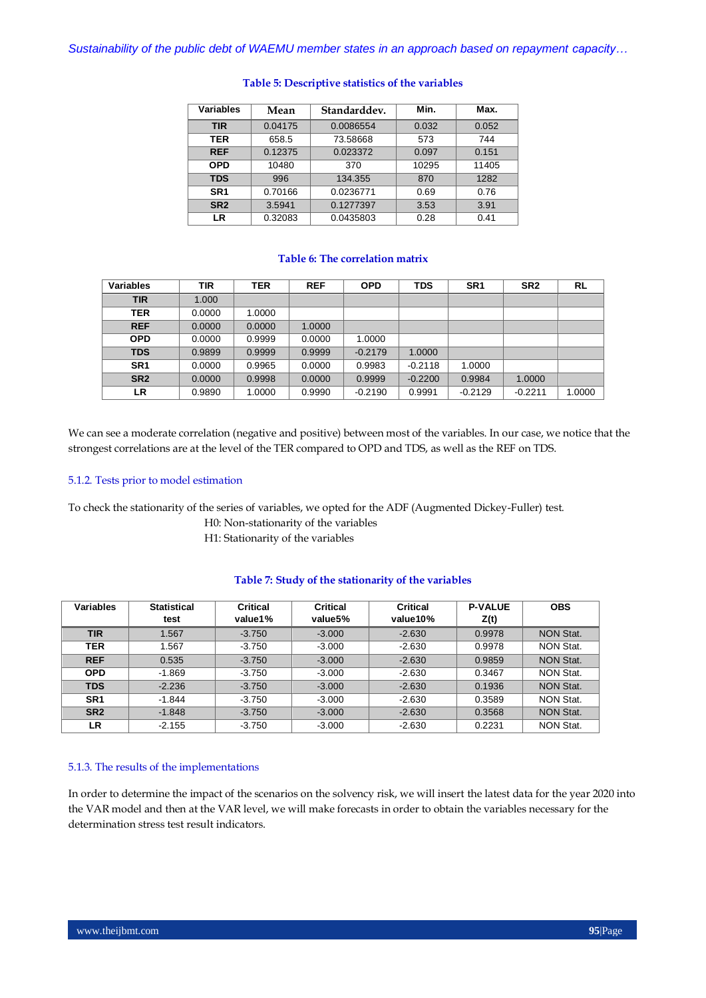| Variables       | Mean    | Standarddev. | Min.  | Max.  |
|-----------------|---------|--------------|-------|-------|
| <b>TIR</b>      | 0.04175 | 0.0086554    | 0.032 | 0.052 |
| TER             | 658.5   | 73.58668     | 573   | 744   |
| <b>REF</b>      | 0.12375 | 0.023372     | 0.097 | 0.151 |
| <b>OPD</b>      | 10480   | 370          | 10295 | 11405 |
| <b>TDS</b>      | 996     | 134.355      | 870   | 1282  |
| SR <sub>1</sub> | 0.70166 | 0.0236771    | 0.69  | 0.76  |
| SR <sub>2</sub> | 3.5941  | 0.1277397    | 3.53  | 3.91  |
| LR              | 0.32083 | 0.0435803    | 0.28  | 0.41  |

# **Table 5: Descriptive statistics of the variables**

# **Table 6: The correlation matrix**

| Variables       | TIR    | <b>TER</b> | <b>REF</b> | <b>OPD</b> | <b>TDS</b> | SR <sub>1</sub> | SR <sub>2</sub> | RL     |
|-----------------|--------|------------|------------|------------|------------|-----------------|-----------------|--------|
| <b>TIR</b>      | 1.000  |            |            |            |            |                 |                 |        |
| TER             | 0.0000 | 1.0000     |            |            |            |                 |                 |        |
| <b>REF</b>      | 0.0000 | 0.0000     | 1.0000     |            |            |                 |                 |        |
| <b>OPD</b>      | 0.0000 | 0.9999     | 0.0000     | 1.0000     |            |                 |                 |        |
| <b>TDS</b>      | 0.9899 | 0.9999     | 0.9999     | $-0.2179$  | 1.0000     |                 |                 |        |
| SR <sub>1</sub> | 0.0000 | 0.9965     | 0.0000     | 0.9983     | $-0.2118$  | 1.0000          |                 |        |
| SR <sub>2</sub> | 0.0000 | 0.9998     | 0.0000     | 0.9999     | $-0.2200$  | 0.9984          | 1.0000          |        |
| LR              | 0.9890 | 1.0000     | 0.9990     | $-0.2190$  | 0.9991     | $-0.2129$       | $-0.2211$       | 1.0000 |

We can see a moderate correlation (negative and positive) between most of the variables. In our case, we notice that the strongest correlations are at the level of the TER compared to OPD and TDS, as well as the REF on TDS.

# 5.1.2. Tests prior to model estimation

To check the stationarity of the series of variables, we opted for the ADF (Augmented Dickey-Fuller) test.

H0: Non-stationarity of the variables

H1: Stationarity of the variables

# **Table 7: Study of the stationarity of the variables**

| <b>Variables</b> | <b>Statistical</b> | <b>Critical</b> | <b>Critical</b> | <b>Critical</b> | <b>P-VALUE</b> | <b>OBS</b>       |
|------------------|--------------------|-----------------|-----------------|-----------------|----------------|------------------|
|                  | test               | value1%         | value5%         | value10%        | Z(t)           |                  |
| <b>TIR</b>       | 1.567              | $-3.750$        | $-3.000$        | $-2.630$        | 0.9978         | <b>NON Stat.</b> |
| <b>TER</b>       | 1.567              | $-3.750$        | $-3.000$        | $-2.630$        | 0.9978         | <b>NON Stat.</b> |
| <b>REF</b>       | 0.535              | $-3.750$        | $-3.000$        | $-2.630$        | 0.9859         | <b>NON Stat.</b> |
| <b>OPD</b>       | $-1.869$           | $-3.750$        | $-3.000$        | $-2.630$        | 0.3467         | <b>NON Stat.</b> |
| <b>TDS</b>       | $-2.236$           | $-3.750$        | $-3.000$        | $-2.630$        | 0.1936         | <b>NON Stat.</b> |
| SR <sub>1</sub>  | $-1.844$           | $-3.750$        | $-3.000$        | $-2.630$        | 0.3589         | <b>NON Stat.</b> |
| SR <sub>2</sub>  | $-1.848$           | $-3.750$        | $-3.000$        | $-2.630$        | 0.3568         | <b>NON Stat.</b> |
| LR               | $-2.155$           | $-3.750$        | $-3.000$        | $-2.630$        | 0.2231         | <b>NON Stat.</b> |

# 5.1.3. The results of the implementations

In order to determine the impact of the scenarios on the solvency risk, we will insert the latest data for the year 2020 into the VAR model and then at the VAR level, we will make forecasts in order to obtain the variables necessary for the determination stress test result indicators.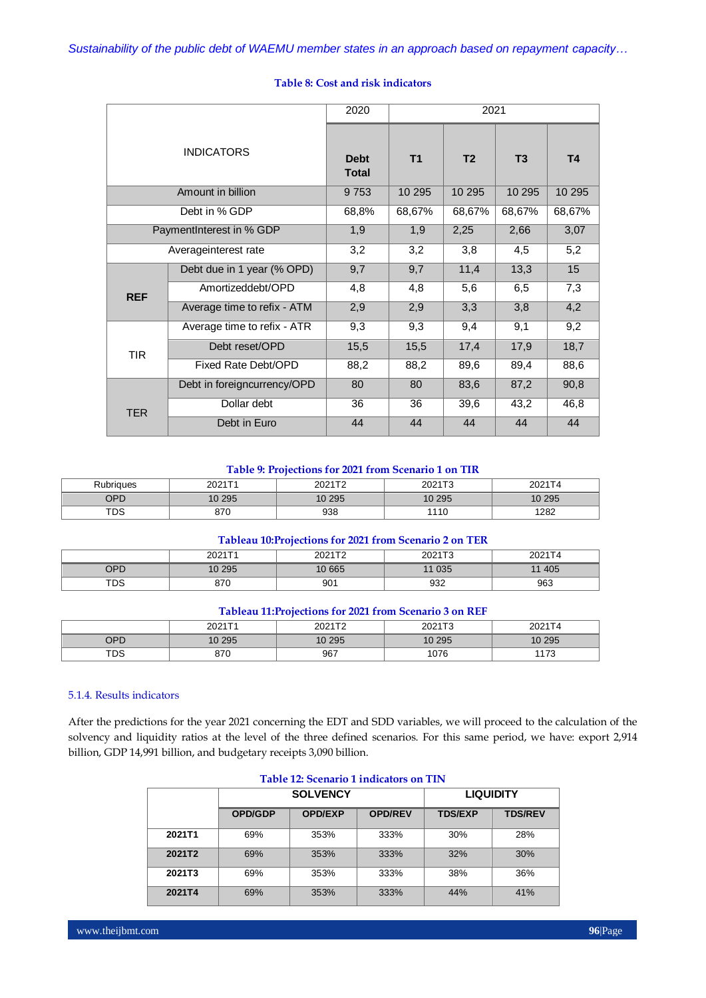|                           |                             | 2020                        |                | 2021           |                |        |
|---------------------------|-----------------------------|-----------------------------|----------------|----------------|----------------|--------|
|                           | <b>INDICATORS</b>           | <b>Debt</b><br><b>Total</b> | T <sub>1</sub> | T <sub>2</sub> | T <sub>3</sub> | T4     |
|                           | Amount in billion           | 9753                        | 10 295         | 10 295         | 10 295         | 10 295 |
|                           | Debt in % GDP               | 68,8%                       | 68,67%         | 68,67%         | 68,67%         | 68,67% |
| Payment Interest in % GDP |                             | 1,9                         | 1,9            | 2,25           | 2,66           | 3,07   |
| Averageinterest rate      |                             | 3,2                         | 3,2            | 3,8            | 4,5            | 5,2    |
|                           | Debt due in 1 year (% OPD)  | 9,7                         | 9,7            | 11,4           | 13,3           | 15     |
| <b>REF</b>                | Amortizeddebt/OPD           | 4,8                         | 4,8            | 5,6            | 6, 5           | 7,3    |
|                           | Average time to refix - ATM | 2,9                         | 2,9            | 3,3            | 3,8            | 4,2    |
|                           | Average time to refix - ATR | 9,3                         | 9,3            | 9,4            | 9,1            | 9,2    |
| <b>TIR</b>                | Debt reset/OPD              | 15,5                        | 15,5           | 17,4           | 17,9           | 18,7   |
|                           | Fixed Rate Debt/OPD         | 88,2                        | 88,2           | 89,6           | 89,4           | 88,6   |
|                           | Debt in foreigncurrency/OPD | 80                          | 80             | 83,6           | 87,2           | 90,8   |
| <b>TER</b>                | Dollar debt                 | 36                          | 36             | 39,6           | 43,2           | 46,8   |
|                           | Debt in Euro                | 44                          | 44             | 44             | 44             | 44     |

# **Table 8: Cost and risk indicators**

# **Table 9: Projections for 2021 from Scenario 1 on TIR**

| Rubriaues  | 2021T1 | 002472<br>. | 2021T2<br>ZUZ I<br>. . | 2021T4 |
|------------|--------|-------------|------------------------|--------|
| OPD        | 10 295 | 10 295      | 10 295                 | 10 295 |
| <b>TDS</b> | 870    | 938         | 110                    | 1282   |

# **Tableau 10:Projections for 2021 from Scenario 2 on TER**

|            | 2021T1 | 2021T2 | 2021T3 | 2021T4 |
|------------|--------|--------|--------|--------|
| OPD        | 10 295 | 10 665 | 035    | 405    |
| <b>TDS</b> | 870    | 901    | 932    | 963    |

# **Tableau 11:Projections for 2021 from Scenario 3 on REF**

|     | 0024T4 | 002172 |        | 0.0271             |  |
|-----|--------|--------|--------|--------------------|--|
| OPD | 10 295 | 10 295 | 10 295 | 10 295             |  |
| TDS | 870    | 967    | 1076   | $\rightarrow$<br>. |  |

# 5.1.4. Results indicators

After the predictions for the year 2021 concerning the EDT and SDD variables, we will proceed to the calculation of the solvency and liquidity ratios at the level of the three defined scenarios. For this same period, we have: export 2,914 billion, GDP 14,991 billion, and budgetary receipts 3,090 billion.

| Table 12. Occulation Inducators on This |                |                 |                  |                |                |  |  |  |
|-----------------------------------------|----------------|-----------------|------------------|----------------|----------------|--|--|--|
|                                         |                | <b>SOLVENCY</b> | <b>LIQUIDITY</b> |                |                |  |  |  |
|                                         | <b>OPD/GDP</b> | <b>OPD/EXP</b>  | <b>OPD/REV</b>   | <b>TDS/EXP</b> | <b>TDS/REV</b> |  |  |  |
| 2021T1                                  | 69%            | 353%            | 333%             | 30%            | 28%            |  |  |  |
| 2021T2                                  | 69%            | 353%            | 333%             | 32%            | 30%            |  |  |  |
| 2021T3                                  | 69%            | 353%            | 333%             | 38%            | 36%            |  |  |  |
| 2021T4                                  | 69%            | 353%            | 333%             | 44%            | 41%            |  |  |  |

# **Table 12: Scenario 1 indicators on TIN**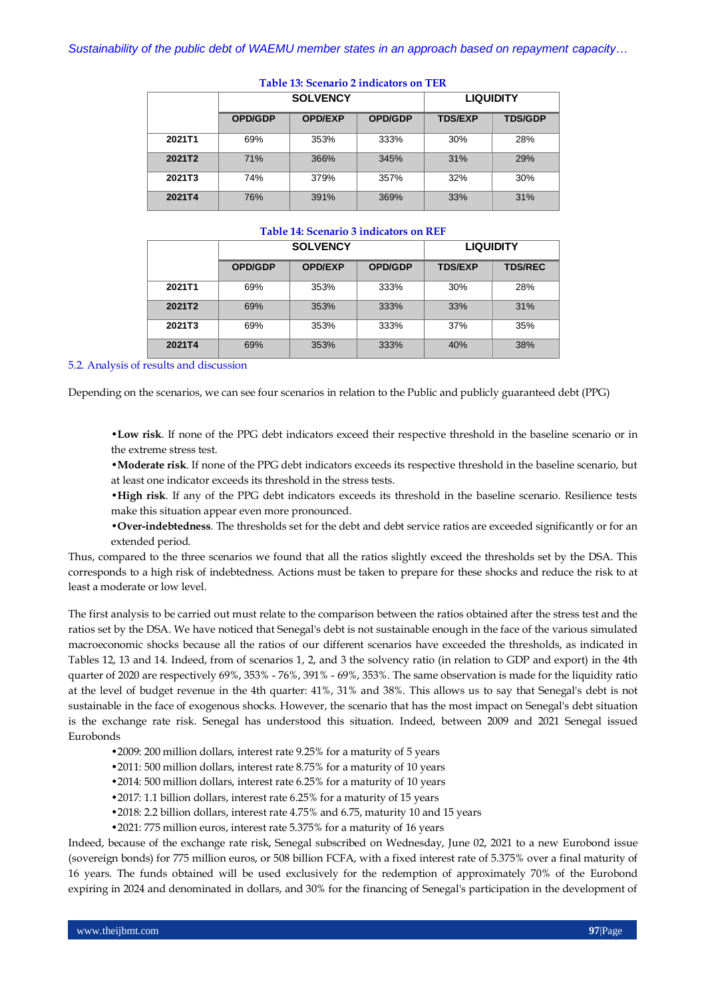|        |                | <b>SOLVENCY</b> | <b>LIQUIDITY</b> |                |                |
|--------|----------------|-----------------|------------------|----------------|----------------|
|        | <b>OPD/GDP</b> | <b>OPD/EXP</b>  | <b>OPD/GDP</b>   | <b>TDS/EXP</b> | <b>TDS/GDP</b> |
| 2021T1 | 69%            | 353%            | 333%             | 30%            | 28%            |
| 2021T2 | 71%            | 366%            | 345%             | 31%            | 29%            |
| 2021T3 | 74%            | 379%            | 357%             | 32%            | 30%            |
| 2021T4 | 76%            | 391%            | 369%             | 33%            | 31%            |

#### **Table 13: Scenario 2 indicators on TER**

# **Table 14: Scenario 3 indicators on REF**

|        |                | <b>SOLVENCY</b> | <b>LIQUIDITY</b> |                |                |
|--------|----------------|-----------------|------------------|----------------|----------------|
|        | <b>OPD/GDP</b> | <b>OPD/EXP</b>  | <b>OPD/GDP</b>   | <b>TDS/EXP</b> | <b>TDS/REC</b> |
| 2021T1 | 69%            | 353%            | 333%             | 30%            | 28%            |
| 2021T2 | 69%            | 353%            | 333%             | 33%            | 31%            |
| 2021T3 | 69%            | 353%            | 333%             | 37%            | 35%            |
| 2021T4 | 69%            | 353%            | 333%             | 40%            | 38%            |

5.2. Analysis of results and discussion

Depending on the scenarios, we can see four scenarios in relation to the Public and publicly guaranteed debt (PPG)

•**Low risk**. If none of the PPG debt indicators exceed their respective threshold in the baseline scenario or in the extreme stress test.

•**Moderate risk**. If none of the PPG debt indicators exceeds its respective threshold in the baseline scenario, but at least one indicator exceeds its threshold in the stress tests.

- •**High risk**. If any of the PPG debt indicators exceeds its threshold in the baseline scenario. Resilience tests make this situation appear even more pronounced.
- •**Over-indebtedness**. The thresholds set for the debt and debt service ratios are exceeded significantly or for an extended period.

Thus, compared to the three scenarios we found that all the ratios slightly exceed the thresholds set by the DSA. This corresponds to a high risk of indebtedness. Actions must be taken to prepare for these shocks and reduce the risk to at least a moderate or low level.

The first analysis to be carried out must relate to the comparison between the ratios obtained after the stress test and the ratios set by the DSA. We have noticed that Senegal's debt is not sustainable enough in the face of the various simulated macroeconomic shocks because all the ratios of our different scenarios have exceeded the thresholds, as indicated in Tables 12, 13 and 14. Indeed, from of scenarios 1, 2, and 3 the solvency ratio (in relation to GDP and export) in the 4th quarter of 2020 are respectively 69%, 353% - 76%, 391% - 69%, 353%. The same observation is made for the liquidity ratio at the level of budget revenue in the 4th quarter: 41%, 31% and 38%. This allows us to say that Senegal's debt is not sustainable in the face of exogenous shocks. However, the scenario that has the most impact on Senegal's debt situation is the exchange rate risk. Senegal has understood this situation. Indeed, between 2009 and 2021 Senegal issued Eurobonds

- •2009: 200 million dollars, interest rate 9.25% for a maturity of 5 years
- •2011: 500 million dollars, interest rate 8.75% for a maturity of 10 years
- •2014: 500 million dollars, interest rate 6.25% for a maturity of 10 years
- •2017: 1.1 billion dollars, interest rate 6.25% for a maturity of 15 years
- •2018: 2.2 billion dollars, interest rate 4.75% and 6.75, maturity 10 and 15 years
- •2021: 775 million euros, interest rate 5.375% for a maturity of 16 years

Indeed, because of the exchange rate risk, Senegal subscribed on Wednesday, June 02, 2021 to a new Eurobond issue (sovereign bonds) for 775 million euros, or 508 billion FCFA, with a fixed interest rate of 5.375% over a final maturity of 16 years. The funds obtained will be used exclusively for the redemption of approximately 70% of the Eurobond expiring in 2024 and denominated in dollars, and 30% for the financing of Senegal's participation in the development of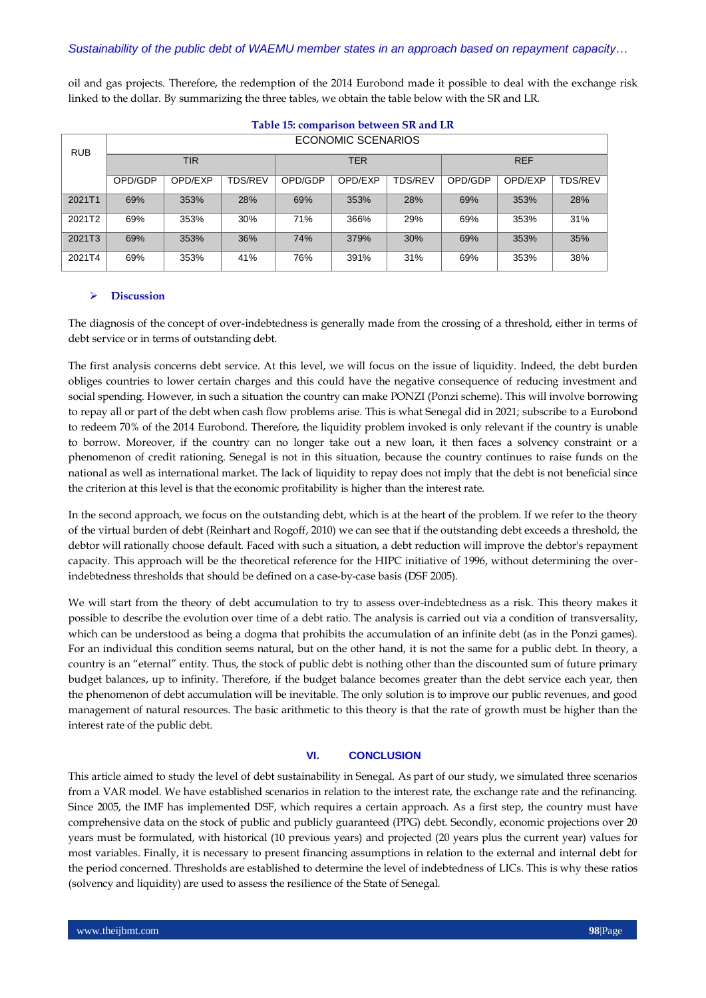oil and gas projects. Therefore, the redemption of the 2014 Eurobond made it possible to deal with the exchange risk linked to the dollar. By summarizing the three tables, we obtain the table below with the SR and LR.

| <b>RUB</b> | ECONOMIC SCENARIOS |         |                |            |         |                |            |         |                |
|------------|--------------------|---------|----------------|------------|---------|----------------|------------|---------|----------------|
|            | TIR                |         |                | <b>TER</b> |         |                | <b>REF</b> |         |                |
|            | OPD/GDP            | OPD/EXP | <b>TDS/REV</b> | OPD/GDP    | OPD/EXP | <b>TDS/REV</b> | OPD/GDP    | OPD/EXP | <b>TDS/REV</b> |
| 2021T1     | 69%                | 353%    | 28%            | 69%        | 353%    | 28%            | 69%        | 353%    | 28%            |
| 2021T2     | 69%                | 353%    | 30%            | 71%        | 366%    | 29%            | 69%        | 353%    | 31%            |
| 2021T3     | 69%                | 353%    | 36%            | 74%        | 379%    | 30%            | 69%        | 353%    | 35%            |
| 2021T4     | 69%                | 353%    | 41%            | 76%        | 391%    | 31%            | 69%        | 353%    | 38%            |

**Table 15: comparison between SR and LR**

#### **Discussion**

The diagnosis of the concept of over-indebtedness is generally made from the crossing of a threshold, either in terms of debt service or in terms of outstanding debt.

The first analysis concerns debt service. At this level, we will focus on the issue of liquidity. Indeed, the debt burden obliges countries to lower certain charges and this could have the negative consequence of reducing investment and social spending. However, in such a situation the country can make PONZI (Ponzi scheme). This will involve borrowing to repay all or part of the debt when cash flow problems arise. This is what Senegal did in 2021; subscribe to a Eurobond to redeem 70% of the 2014 Eurobond. Therefore, the liquidity problem invoked is only relevant if the country is unable to borrow. Moreover, if the country can no longer take out a new loan, it then faces a solvency constraint or a phenomenon of credit rationing. Senegal is not in this situation, because the country continues to raise funds on the national as well as international market. The lack of liquidity to repay does not imply that the debt is not beneficial since the criterion at this level is that the economic profitability is higher than the interest rate.

In the second approach, we focus on the outstanding debt, which is at the heart of the problem. If we refer to the theory of the virtual burden of debt (Reinhart and Rogoff, 2010) we can see that if the outstanding debt exceeds a threshold, the debtor will rationally choose default. Faced with such a situation, a debt reduction will improve the debtor's repayment capacity. This approach will be the theoretical reference for the HIPC initiative of 1996, without determining the overindebtedness thresholds that should be defined on a case-by-case basis (DSF 2005).

We will start from the theory of debt accumulation to try to assess over-indebtedness as a risk. This theory makes it possible to describe the evolution over time of a debt ratio. The analysis is carried out via a condition of transversality, which can be understood as being a dogma that prohibits the accumulation of an infinite debt (as in the Ponzi games). For an individual this condition seems natural, but on the other hand, it is not the same for a public debt. In theory, a country is an "eternal" entity. Thus, the stock of public debt is nothing other than the discounted sum of future primary budget balances, up to infinity. Therefore, if the budget balance becomes greater than the debt service each year, then the phenomenon of debt accumulation will be inevitable. The only solution is to improve our public revenues, and good management of natural resources. The basic arithmetic to this theory is that the rate of growth must be higher than the interest rate of the public debt.

# **VI. CONCLUSION**

This article aimed to study the level of debt sustainability in Senegal. As part of our study, we simulated three scenarios from a VAR model. We have established scenarios in relation to the interest rate, the exchange rate and the refinancing. Since 2005, the IMF has implemented DSF, which requires a certain approach. As a first step, the country must have comprehensive data on the stock of public and publicly guaranteed (PPG) debt. Secondly, economic projections over 20 years must be formulated, with historical (10 previous years) and projected (20 years plus the current year) values for most variables. Finally, it is necessary to present financing assumptions in relation to the external and internal debt for the period concerned. Thresholds are established to determine the level of indebtedness of LICs. This is why these ratios (solvency and liquidity) are used to assess the resilience of the State of Senegal.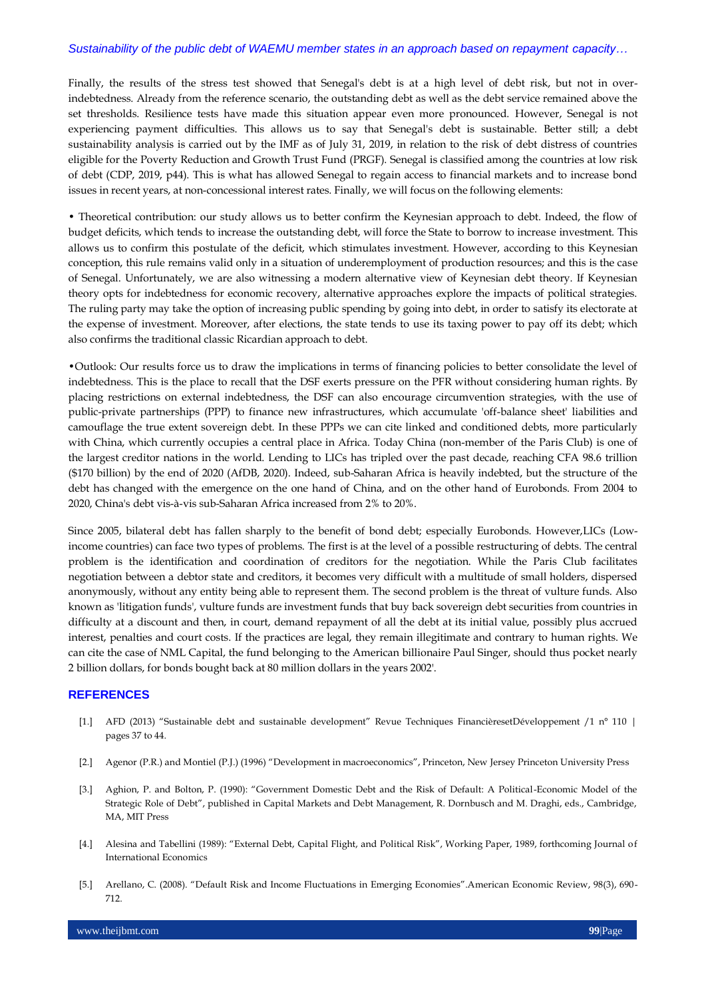Finally, the results of the stress test showed that Senegal's debt is at a high level of debt risk, but not in overindebtedness. Already from the reference scenario, the outstanding debt as well as the debt service remained above the set thresholds. Resilience tests have made this situation appear even more pronounced. However, Senegal is not experiencing payment difficulties. This allows us to say that Senegal's debt is sustainable. Better still; a debt sustainability analysis is carried out by the IMF as of July 31, 2019, in relation to the risk of debt distress of countries eligible for the Poverty Reduction and Growth Trust Fund (PRGF). Senegal is classified among the countries at low risk of debt (CDP, 2019, p44). This is what has allowed Senegal to regain access to financial markets and to increase bond issues in recent years, at non-concessional interest rates. Finally, we will focus on the following elements:

• Theoretical contribution: our study allows us to better confirm the Keynesian approach to debt. Indeed, the flow of budget deficits, which tends to increase the outstanding debt, will force the State to borrow to increase investment. This allows us to confirm this postulate of the deficit, which stimulates investment. However, according to this Keynesian conception, this rule remains valid only in a situation of underemployment of production resources; and this is the case of Senegal. Unfortunately, we are also witnessing a modern alternative view of Keynesian debt theory. If Keynesian theory opts for indebtedness for economic recovery, alternative approaches explore the impacts of political strategies. The ruling party may take the option of increasing public spending by going into debt, in order to satisfy its electorate at the expense of investment. Moreover, after elections, the state tends to use its taxing power to pay off its debt; which also confirms the traditional classic Ricardian approach to debt.

•Outlook: Our results force us to draw the implications in terms of financing policies to better consolidate the level of indebtedness. This is the place to recall that the DSF exerts pressure on the PFR without considering human rights. By placing restrictions on external indebtedness, the DSF can also encourage circumvention strategies, with the use of public-private partnerships (PPP) to finance new infrastructures, which accumulate 'off-balance sheet' liabilities and camouflage the true extent sovereign debt. In these PPPs we can cite linked and conditioned debts, more particularly with China, which currently occupies a central place in Africa. Today China (non-member of the Paris Club) is one of the largest creditor nations in the world. Lending to LICs has tripled over the past decade, reaching CFA 98.6 trillion (\$170 billion) by the end of 2020 (AfDB, 2020). Indeed, sub-Saharan Africa is heavily indebted, but the structure of the debt has changed with the emergence on the one hand of China, and on the other hand of Eurobonds. From 2004 to 2020, China's debt vis-à-vis sub-Saharan Africa increased from 2% to 20%.

Since 2005, bilateral debt has fallen sharply to the benefit of bond debt; especially Eurobonds. However,LICs (Lowincome countries) can face two types of problems. The first is at the level of a possible restructuring of debts. The central problem is the identification and coordination of creditors for the negotiation. While the Paris Club facilitates negotiation between a debtor state and creditors, it becomes very difficult with a multitude of small holders, dispersed anonymously, without any entity being able to represent them. The second problem is the threat of vulture funds. Also known as 'litigation funds', vulture funds are investment funds that buy back sovereign debt securities from countries in difficulty at a discount and then, in court, demand repayment of all the debt at its initial value, possibly plus accrued interest, penalties and court costs. If the practices are legal, they remain illegitimate and contrary to human rights. We can cite the case of NML Capital, the fund belonging to the American billionaire Paul Singer, should thus pocket nearly 2 billion dollars, for bonds bought back at 80 million dollars in the years 2002'.

# **REFERENCES**

- [1.] AFD (2013) "Sustainable debt and sustainable development" Revue Techniques FinancièresetDéveloppement /1 n° 110 | pages 37 to 44.
- [2.] Agenor (P.R.) and Montiel (P.J.) (1996) "Development in macroeconomics", Princeton, New Jersey Princeton University Press
- [3.] Aghion, P. and Bolton, P. (1990): "Government Domestic Debt and the Risk of Default: A Political-Economic Model of the Strategic Role of Debt", published in Capital Markets and Debt Management, R. Dornbusch and M. Draghi, eds., Cambridge, MA, MIT Press
- [4.] Alesina and Tabellini (1989): "External Debt, Capital Flight, and Political Risk", Working Paper, 1989, forthcoming Journal of International Economics
- [5.] Arellano, C. (2008). "Default Risk and Income Fluctuations in Emerging Economies".American Economic Review, 98(3), 690-712.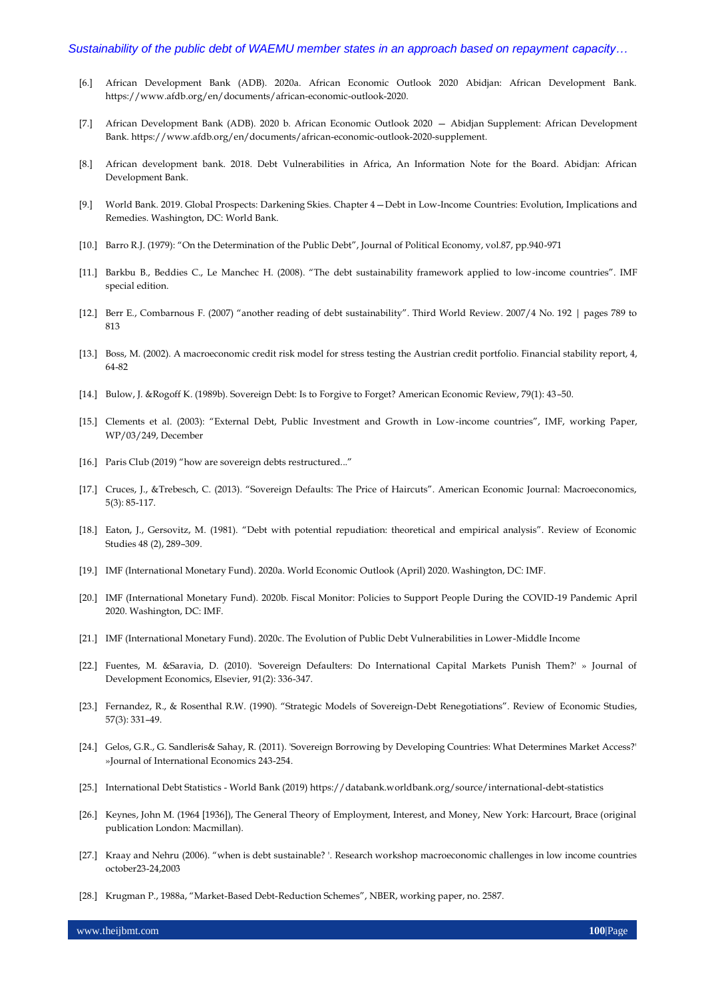- [6.] African Development Bank (ADB). 2020a. African Economic Outlook 2020 Abidjan: African Development Bank. https://www.afdb.org/en/documents/african-economic-outlook-2020.
- [7.] African Development Bank (ADB). 2020 b. African Economic Outlook 2020 Abidjan Supplement: African Development Bank. https://www.afdb.org/en/documents/african-economic-outlook-2020-supplement.
- [8.] African development bank. 2018. Debt Vulnerabilities in Africa, An Information Note for the Board. Abidjan: African Development Bank.
- [9.] World Bank. 2019. Global Prospects: Darkening Skies. Chapter 4—Debt in Low-Income Countries: Evolution, Implications and Remedies. Washington, DC: World Bank.
- [10.] Barro R.J. (1979): "On the Determination of the Public Debt", Journal of Political Economy, vol.87, pp.940-971
- [11.] Barkbu B., Beddies C., Le Manchec H. (2008). "The debt sustainability framework applied to low-income countries". IMF special edition.
- [12.] Berr E., Combarnous F. (2007) "another reading of debt sustainability". Third World Review. 2007/4 No. 192 | pages 789 to 813
- [13.] Boss, M. (2002). A macroeconomic credit risk model for stress testing the Austrian credit portfolio. Financial stability report, 4, 64-82
- [14.] Bulow, J. &Rogoff K. (1989b). Sovereign Debt: Is to Forgive to Forget? American Economic Review, 79(1): 43–50.
- [15.] Clements et al. (2003): "External Debt, Public Investment and Growth in Low-income countries", IMF, working Paper, WP/03/249, December
- [16.] Paris Club (2019) "how are sovereign debts restructured..."
- [17.] Cruces, J., &Trebesch, C. (2013). "Sovereign Defaults: The Price of Haircuts". American Economic Journal: Macroeconomics, 5(3): 85-117.
- [18.] Eaton, J., Gersovitz, M. (1981). "Debt with potential repudiation: theoretical and empirical analysis". Review of Economic Studies 48 (2), 289–309.
- [19.] IMF (International Monetary Fund). 2020a. World Economic Outlook (April) 2020. Washington, DC: IMF.
- [20.] IMF (International Monetary Fund). 2020b. Fiscal Monitor: Policies to Support People During the COVID-19 Pandemic April 2020. Washington, DC: IMF.
- [21.] IMF (International Monetary Fund). 2020c. The Evolution of Public Debt Vulnerabilities in Lower-Middle Income
- [22.] Fuentes, M. &Saravia, D. (2010). 'Sovereign Defaulters: Do International Capital Markets Punish Them?' » Journal of Development Economics, Elsevier, 91(2): 336-347.
- [23.] Fernandez, R., & Rosenthal R.W. (1990). "Strategic Models of Sovereign-Debt Renegotiations". Review of Economic Studies, 57(3): 331–49.
- [24.] Gelos, G.R., G. Sandleris& Sahay, R. (2011). 'Sovereign Borrowing by Developing Countries: What Determines Market Access?' »Journal of International Economics 243-254.
- [25.] International Debt Statistics World Bank (2019) https://databank.worldbank.org/source/international-debt-statistics
- [26.] Keynes, John M. (1964 [1936]), The General Theory of Employment, Interest, and Money, New York: Harcourt, Brace (original publication London: Macmillan).
- [27.] Kraay and Nehru (2006). "when is debt sustainable? '. Research workshop macroeconomic challenges in low income countries october23-24,2003
- [28.] Krugman P., 1988a, "Market-Based Debt-Reduction Schemes", NBER, working paper, no. 2587.